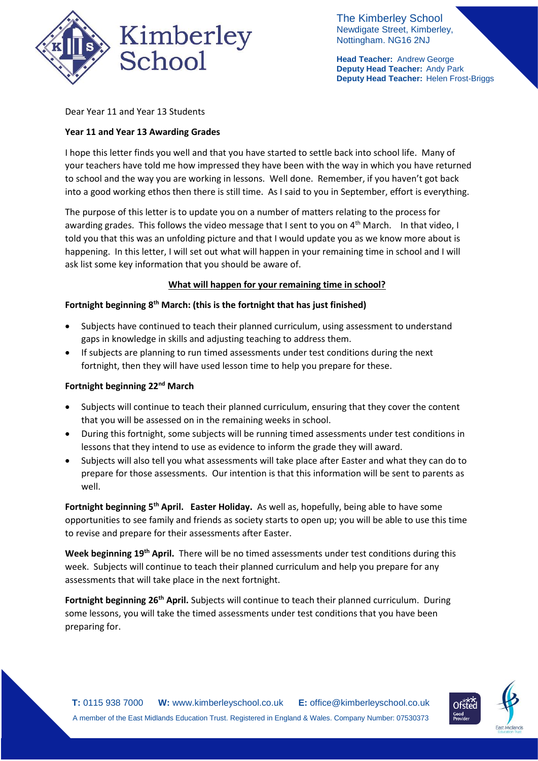

The Kimberley School Newdigate Street, Kimberley, Nottingham. NG16 2NJ

**Head Teacher:** Andrew George **Deputy Head Teacher:** Andy Park **Deputy Head Teacher:** Helen Frost-Briggs

Dear Year 11 and Year 13 Students

# **Year 11 and Year 13 Awarding Grades**

I hope this letter finds you well and that you have started to settle back into school life. Many of your teachers have told me how impressed they have been with the way in which you have returned to school and the way you are working in lessons. Well done. Remember, if you haven't got back into a good working ethos then there is still time. As I said to you in September, effort is everything.

The purpose of this letter is to update you on a number of matters relating to the process for awarding grades. This follows the video message that I sent to you on 4<sup>th</sup> March. In that video, I told you that this was an unfolding picture and that I would update you as we know more about is happening. In this letter, I will set out what will happen in your remaining time in school and I will ask list some key information that you should be aware of.

### **What will happen for your remaining time in school?**

### **Fortnight beginning 8th March: (this is the fortnight that has just finished)**

- Subjects have continued to teach their planned curriculum, using assessment to understand gaps in knowledge in skills and adjusting teaching to address them.
- If subjects are planning to run timed assessments under test conditions during the next fortnight, then they will have used lesson time to help you prepare for these.

### **Fortnight beginning 22nd March**

- Subjects will continue to teach their planned curriculum, ensuring that they cover the content that you will be assessed on in the remaining weeks in school.
- During this fortnight, some subjects will be running timed assessments under test conditions in lessons that they intend to use as evidence to inform the grade they will award.
- Subjects will also tell you what assessments will take place after Easter and what they can do to prepare for those assessments. Our intention is that this information will be sent to parents as well.

**Fortnight beginning 5th April. Easter Holiday.** As well as, hopefully, being able to have some opportunities to see family and friends as society starts to open up; you will be able to use this time to revise and prepare for their assessments after Easter.

**Week beginning 19th April.** There will be no timed assessments under test conditions during this week. Subjects will continue to teach their planned curriculum and help you prepare for any assessments that will take place in the next fortnight.

**Fortnight beginning 26th April.** Subjects will continue to teach their planned curriculum. During some lessons, you will take the timed assessments under test conditions that you have been preparing for.

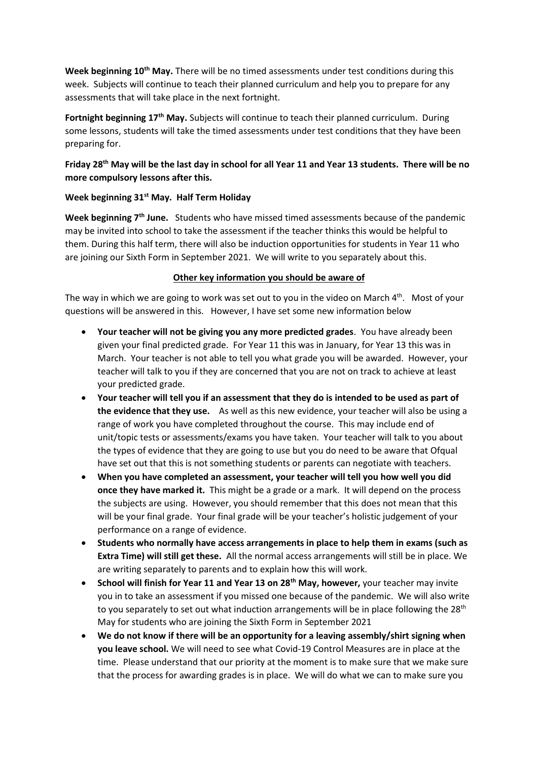**Week beginning 10th May.** There will be no timed assessments under test conditions during this week. Subjects will continue to teach their planned curriculum and help you to prepare for any assessments that will take place in the next fortnight.

**Fortnight beginning 17th May.** Subjects will continue to teach their planned curriculum. During some lessons, students will take the timed assessments under test conditions that they have been preparing for.

# **Friday 28th May will be the last day in school for all Year 11 and Year 13 students. There will be no more compulsory lessons after this.**

#### **Week beginning 31st May. Half Term Holiday**

**Week beginning 7th June.** Students who have missed timed assessments because of the pandemic may be invited into school to take the assessment if the teacher thinks this would be helpful to them. During this half term, there will also be induction opportunities for students in Year 11 who are joining our Sixth Form in September 2021. We will write to you separately about this.

#### **Other key information you should be aware of**

The way in which we are going to work was set out to you in the video on March  $4^{\text{th}}$ . Most of your questions will be answered in this. However, I have set some new information below

- **Your teacher will not be giving you any more predicted grades**. You have already been given your final predicted grade. For Year 11 this was in January, for Year 13 this was in March. Your teacher is not able to tell you what grade you will be awarded. However, your teacher will talk to you if they are concerned that you are not on track to achieve at least your predicted grade.
- **Your teacher will tell you if an assessment that they do is intended to be used as part of the evidence that they use.** As well as this new evidence, your teacher will also be using a range of work you have completed throughout the course. This may include end of unit/topic tests or assessments/exams you have taken. Your teacher will talk to you about the types of evidence that they are going to use but you do need to be aware that Ofqual have set out that this is not something students or parents can negotiate with teachers.
- **When you have completed an assessment, your teacher will tell you how well you did once they have marked it.** This might be a grade or a mark. It will depend on the process the subjects are using. However, you should remember that this does not mean that this will be your final grade. Your final grade will be your teacher's holistic judgement of your performance on a range of evidence.
- **Students who normally have access arrangements in place to help them in exams (such as Extra Time) will still get these.** All the normal access arrangements will still be in place. We are writing separately to parents and to explain how this will work.
- **School will finish for Year 11 and Year 13 on 28th May, however,** your teacher may invite you in to take an assessment if you missed one because of the pandemic. We will also write to you separately to set out what induction arrangements will be in place following the  $28<sup>th</sup>$ May for students who are joining the Sixth Form in September 2021
- **We do not know if there will be an opportunity for a leaving assembly/shirt signing when you leave school.** We will need to see what Covid-19 Control Measures are in place at the time. Please understand that our priority at the moment is to make sure that we make sure that the process for awarding grades is in place. We will do what we can to make sure you